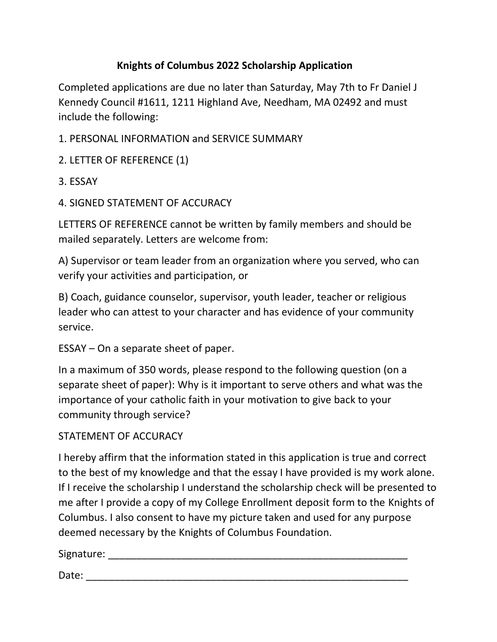## **Knights of Columbus 2022 Scholarship Application**

Completed applications are due no later than Saturday, May 7th to Fr Daniel J Kennedy Council #1611, 1211 Highland Ave, Needham, MA 02492 and must include the following:

- 1. PERSONAL INFORMATION and SERVICE SUMMARY
- 2. LETTER OF REFERENCE (1)
- 3. ESSAY
- 4. SIGNED STATEMENT OF ACCURACY

LETTERS OF REFERENCE cannot be written by family members and should be mailed separately. Letters are welcome from:

A) Supervisor or team leader from an organization where you served, who can verify your activities and participation, or

B) Coach, guidance counselor, supervisor, youth leader, teacher or religious leader who can attest to your character and has evidence of your community service.

ESSAY – On a separate sheet of paper.

In a maximum of 350 words, please respond to the following question (on a separate sheet of paper): Why is it important to serve others and what was the importance of your catholic faith in your motivation to give back to your community through service?

## STATEMENT OF ACCURACY

I hereby affirm that the information stated in this application is true and correct to the best of my knowledge and that the essay I have provided is my work alone. If I receive the scholarship I understand the scholarship check will be presented to me after I provide a copy of my College Enrollment deposit form to the Knights of Columbus. I also consent to have my picture taken and used for any purpose deemed necessary by the Knights of Columbus Foundation.

Signature: \_\_\_\_\_\_\_\_\_\_\_\_\_\_\_\_\_\_\_\_\_\_\_\_\_\_\_\_\_\_\_\_\_\_\_\_\_\_\_\_\_\_\_\_\_\_\_\_\_\_\_\_\_

Date: \_\_\_\_\_\_\_\_\_\_\_\_\_\_\_\_\_\_\_\_\_\_\_\_\_\_\_\_\_\_\_\_\_\_\_\_\_\_\_\_\_\_\_\_\_\_\_\_\_\_\_\_\_\_\_\_\_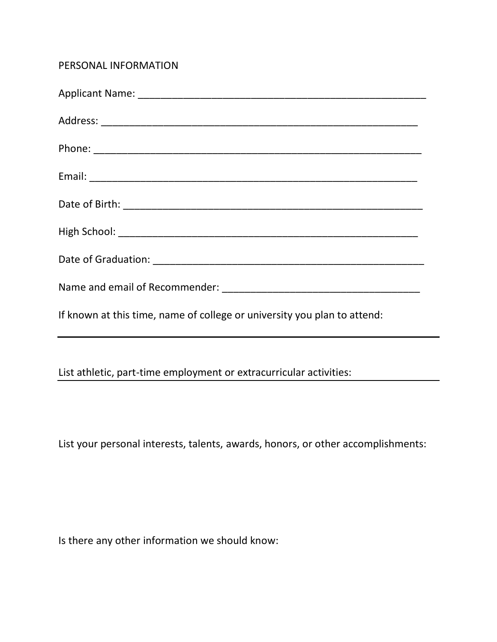## PERSONAL INFORMATION

| If known at this time, name of college or university you plan to attend: |
|--------------------------------------------------------------------------|
| List athletic, part-time employment or extracurricular activities:       |

List your personal interests, talents, awards, honors, or other accomplishments:

Is there any other information we should know: